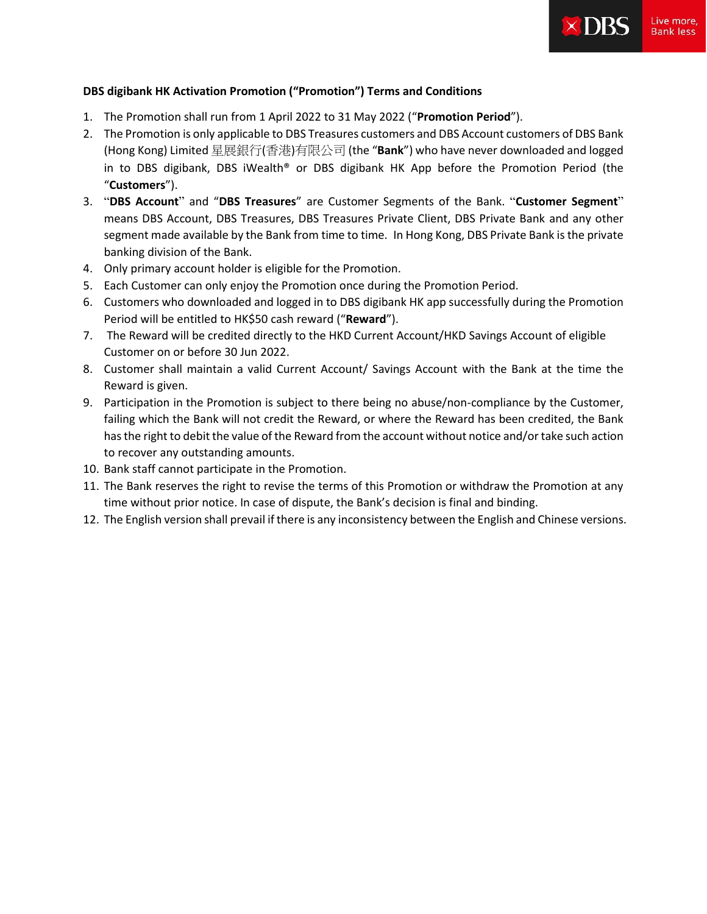

## **DBS digibank HK Activation Promotion ("Promotion") Terms and Conditions**

- 1. The Promotion shall run from 1 April 2022 to 31 May 2022 ("**Promotion Period**").
- 2. The Promotion is only applicable to DBS Treasures customers and DBS Account customers of DBS Bank (Hong Kong) Limited 星展銀行(香港)有限公司 (the "**Bank**") who have never downloaded and logged in to DBS digibank, DBS iWealth® or DBS digibank HK App before the Promotion Period (the "**Customers**").
- 3. "**DBS Account**" and "**DBS Treasures**" are Customer Segments of the Bank. "**Customer Segment**" means DBS Account, DBS Treasures, DBS Treasures Private Client, DBS Private Bank and any other segment made available by the Bank from time to time. In Hong Kong, DBS Private Bank is the private banking division of the Bank.
- 4. Only primary account holder is eligible for the Promotion.
- 5. Each Customer can only enjoy the Promotion once during the Promotion Period.
- 6. Customers who downloaded and logged in to DBS digibank HK app successfully during the Promotion Period will be entitled to HK\$50 cash reward ("**Reward**").
- 7. The Reward will be credited directly to the HKD Current Account/HKD Savings Account of eligible Customer on or before 30 Jun 2022.
- 8. Customer shall maintain a valid Current Account/ Savings Account with the Bank at the time the Reward is given.
- 9. Participation in the Promotion is subject to there being no abuse/non-compliance by the Customer, failing which the Bank will not credit the Reward, or where the Reward has been credited, the Bank has the right to debit the value of the Reward from the account without notice and/or take such action to recover any outstanding amounts.
- 10. Bank staff cannot participate in the Promotion.
- 11. The Bank reserves the right to revise the terms of this Promotion or withdraw the Promotion at any time without prior notice. In case of dispute, the Bank's decision is final and binding.
- 12. The English version shall prevail if there is any inconsistency between the English and Chinese versions.